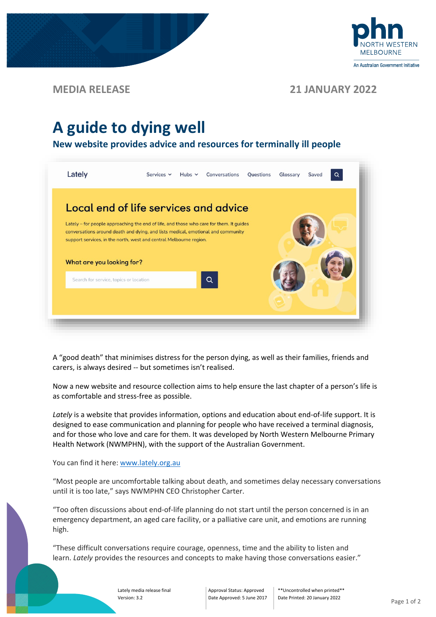

## **MEDIA RELEASE 21 JANUARY 2022**

# **A guide to dying well**

**New website provides advice and resources for terminally ill people**



A "good death" that minimises distress for the person dying, as well as their families, friends and carers, is always desired -- but sometimes isn't realised.

Now a new website and resource collection aims to help ensure the last chapter of a person's life is as comfortable and stress-free as possible.

*Lately* is a website that provides information, options and education about end-of-life support. It is designed to ease communication and planning for people who have received a terminal diagnosis, and for those who love and care for them. It was developed by North Western Melbourne Primary Health Network (NWMPHN), with the support of the Australian Government.

### You can find it here: [www.lately.org.au](https://www.lately.org.au/)

"Most people are uncomfortable talking about death, and sometimes delay necessary conversations until it is too late," says NWMPHN CEO Christopher Carter.

"Too often discussions about end-of-life planning do not start until the person concerned is in an emergency department, an aged care facility, or a palliative care unit, and emotions are running high.

"These difficult conversations require courage, openness, time and the ability to listen and learn. Lately provides the resources and concepts to make having those conversations easier."

> Lately media release final Version: 3.2

Approval Status: Approved Date Approved: 5 June 2017

\*\*Uncontrolled when printed\*\* Date Printed: 20 January 2022<br>
Page 1 of 2